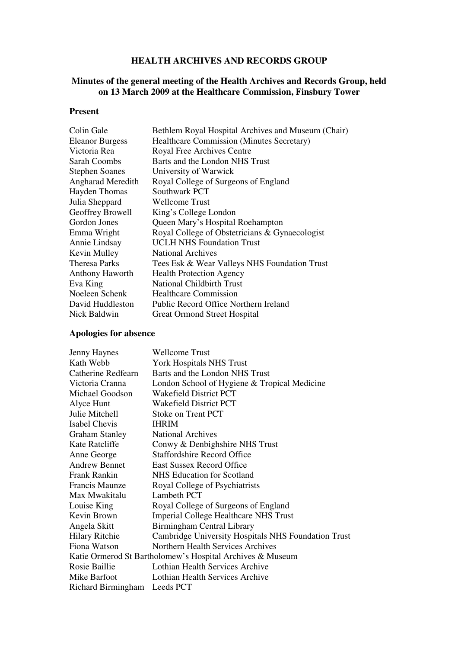### **HEALTH ARCHIVES AND RECORDS GROUP**

### **Minutes of the general meeting of the Health Archives and Records Group, held on 13 March 2009 at the Healthcare Commission, Finsbury Tower**

#### **Present**

| Bethlem Royal Hospital Archives and Museum (Chair) |
|----------------------------------------------------|
| <b>Healthcare Commission (Minutes Secretary)</b>   |
| Royal Free Archives Centre                         |
| Barts and the London NHS Trust                     |
| University of Warwick                              |
| Royal College of Surgeons of England               |
| Southwark PCT                                      |
| <b>Wellcome Trust</b>                              |
| King's College London                              |
| Queen Mary's Hospital Roehampton                   |
| Royal College of Obstetricians & Gynaecologist     |
| <b>UCLH NHS Foundation Trust</b>                   |
| <b>National Archives</b>                           |
| Tees Esk & Wear Valleys NHS Foundation Trust       |
| <b>Health Protection Agency</b>                    |
| <b>National Childbirth Trust</b>                   |
| <b>Healthcare Commission</b>                       |
| Public Record Office Northern Ireland              |
| <b>Great Ormond Street Hospital</b>                |
|                                                    |

# **Apologies for absence**

| <b>Jenny Haynes</b>   | <b>Wellcome Trust</b>                                     |
|-----------------------|-----------------------------------------------------------|
| Kath Webb             | <b>York Hospitals NHS Trust</b>                           |
| Catherine Redfearn    | Barts and the London NHS Trust                            |
| Victoria Cranna       | London School of Hygiene & Tropical Medicine              |
| Michael Goodson       | <b>Wakefield District PCT</b>                             |
| Alyce Hunt            | <b>Wakefield District PCT</b>                             |
| Julie Mitchell        | Stoke on Trent PCT                                        |
| <b>Isabel Chevis</b>  | <b>IHRIM</b>                                              |
| <b>Graham Stanley</b> | <b>National Archives</b>                                  |
| Kate Ratcliffe        | Conwy & Denbighshire NHS Trust                            |
| Anne George           | <b>Staffordshire Record Office</b>                        |
| <b>Andrew Bennet</b>  | <b>East Sussex Record Office</b>                          |
| Frank Rankin          | NHS Education for Scotland                                |
| <b>Francis Maunze</b> | Royal College of Psychiatrists                            |
| Max Mwakitalu         | Lambeth PCT                                               |
| Louise King           | Royal College of Surgeons of England                      |
| Kevin Brown           | <b>Imperial College Healthcare NHS Trust</b>              |
| Angela Skitt          | Birmingham Central Library                                |
| <b>Hilary Ritchie</b> | Cambridge University Hospitals NHS Foundation Trust       |
| Fiona Watson          | Northern Health Services Archives                         |
|                       | Katie Ormerod St Bartholomew's Hospital Archives & Museum |
| Rosie Baillie         | Lothian Health Services Archive                           |
| Mike Barfoot          | Lothian Health Services Archive                           |
| Richard Birmingham    | Leeds PCT                                                 |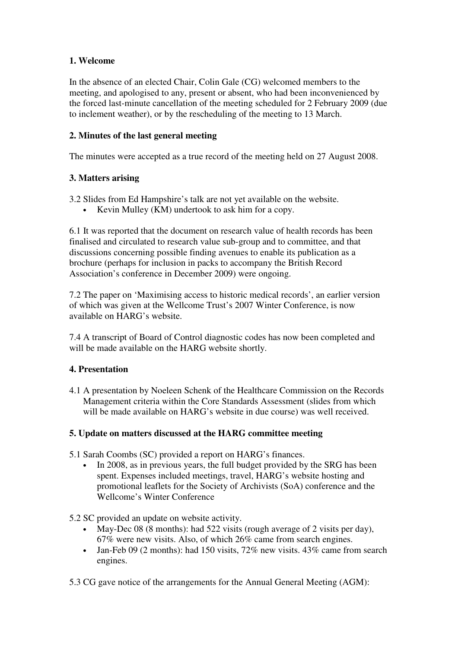# **1. Welcome**

In the absence of an elected Chair, Colin Gale (CG) welcomed members to the meeting, and apologised to any, present or absent, who had been inconvenienced by the forced last-minute cancellation of the meeting scheduled for 2 February 2009 (due to inclement weather), or by the rescheduling of the meeting to 13 March.

### **2. Minutes of the last general meeting**

The minutes were accepted as a true record of the meeting held on 27 August 2008.

# **3. Matters arising**

3.2 Slides from Ed Hampshire's talk are not yet available on the website.

• Kevin Mulley (KM) undertook to ask him for a copy.

6.1 It was reported that the document on research value of health records has been finalised and circulated to research value sub-group and to committee, and that discussions concerning possible finding avenues to enable its publication as a brochure (perhaps for inclusion in packs to accompany the British Record Association's conference in December 2009) were ongoing.

7.2 The paper on 'Maximising access to historic medical records', an earlier version of which was given at the Wellcome Trust's 2007 Winter Conference, is now available on HARG's website.

7.4 A transcript of Board of Control diagnostic codes has now been completed and will be made available on the HARG website shortly.

# **4. Presentation**

4.1 A presentation by Noeleen Schenk of the Healthcare Commission on the Records Management criteria within the Core Standards Assessment (slides from which will be made available on HARG's website in due course) was well received.

### **5. Update on matters discussed at the HARG committee meeting**

5.1 Sarah Coombs (SC) provided a report on HARG's finances.

In 2008, as in previous years, the full budget provided by the SRG has been spent. Expenses included meetings, travel, HARG's website hosting and promotional leaflets for the Society of Archivists (SoA) conference and the Wellcome's Winter Conference

5.2 SC provided an update on website activity.

- May-Dec 08 (8 months): had 522 visits (rough average of 2 visits per day), 67% were new visits. Also, of which 26% came from search engines.
- Jan-Feb 09 (2 months): had 150 visits, 72% new visits. 43% came from search engines.
- 5.3 CG gave notice of the arrangements for the Annual General Meeting (AGM):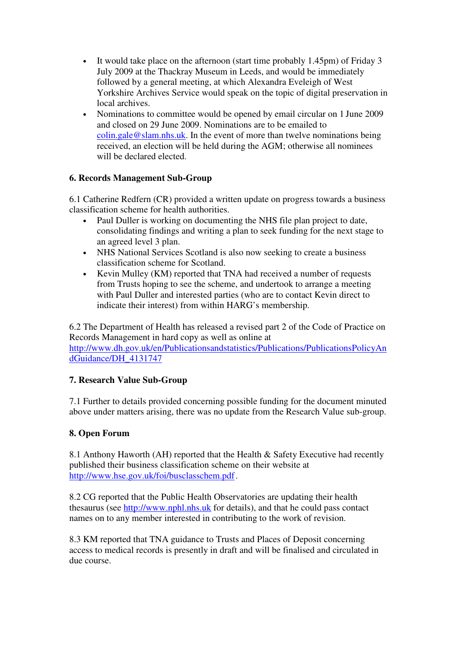- It would take place on the afternoon (start time probably 1.45pm) of Friday 3 July 2009 at the Thackray Museum in Leeds, and would be immediately followed by a general meeting, at which Alexandra Eveleigh of West Yorkshire Archives Service would speak on the topic of digital preservation in local archives.
- Nominations to committee would be opened by email circular on 1 June 2009 and closed on 29 June 2009. Nominations are to be emailed to colin.gale@slam.nhs.uk. In the event of more than twelve nominations being received, an election will be held during the AGM; otherwise all nominees will be declared elected.

# **6. Records Management Sub-Group**

6.1 Catherine Redfern (CR) provided a written update on progress towards a business classification scheme for health authorities.

- Paul Duller is working on documenting the NHS file plan project to date, consolidating findings and writing a plan to seek funding for the next stage to an agreed level 3 plan.
- NHS National Services Scotland is also now seeking to create a business classification scheme for Scotland.
- Kevin Mulley (KM) reported that TNA had received a number of requests from Trusts hoping to see the scheme, and undertook to arrange a meeting with Paul Duller and interested parties (who are to contact Kevin direct to indicate their interest) from within HARG's membership.

6.2 The Department of Health has released a revised part 2 of the Code of Practice on Records Management in hard copy as well as online at http://www.dh.gov.uk/en/Publicationsandstatistics/Publications/PublicationsPolicyAn dGuidance/DH\_4131747

### **7. Research Value Sub-Group**

7.1 Further to details provided concerning possible funding for the document minuted above under matters arising, there was no update from the Research Value sub-group.

### **8. Open Forum**

8.1 Anthony Haworth (AH) reported that the Health & Safety Executive had recently published their business classification scheme on their website at http://www.hse.gov.uk/foi/busclasschem.pdf .

8.2 CG reported that the Public Health Observatories are updating their health thesaurus (see http://www.nphl.nhs.uk for details), and that he could pass contact names on to any member interested in contributing to the work of revision.

8.3 KM reported that TNA guidance to Trusts and Places of Deposit concerning access to medical records is presently in draft and will be finalised and circulated in due course.